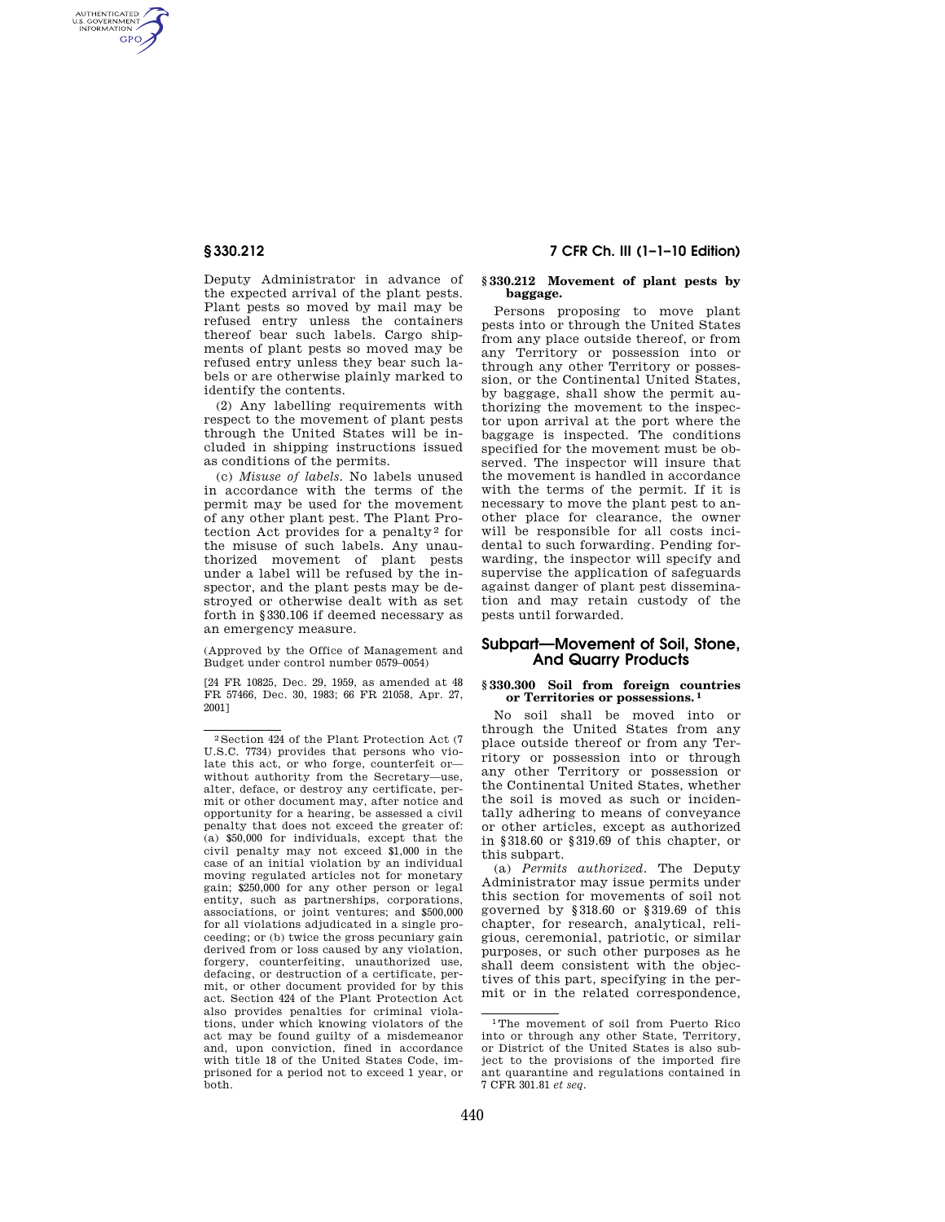AUTHENTICATED<br>U.S. GOVERNMENT<br>INFORMATION **GPO** 

> Deputy Administrator in advance of the expected arrival of the plant pests. Plant pests so moved by mail may be refused entry unless the containers thereof bear such labels. Cargo shipments of plant pests so moved may be refused entry unless they bear such labels or are otherwise plainly marked to identify the contents.

> (2) Any labelling requirements with respect to the movement of plant pests through the United States will be included in shipping instructions issued as conditions of the permits.

> (c) *Misuse of labels.* No labels unused in accordance with the terms of the permit may be used for the movement of any other plant pest. The Plant Protection Act provides for a penalty<sup>2</sup> for the misuse of such labels. Any unauthorized movement of plant pests under a label will be refused by the inspector, and the plant pests may be destroyed or otherwise dealt with as set forth in §330.106 if deemed necessary as an emergency measure.

(Approved by the Office of Management and Budget under control number 0579–0054)

[24 FR 10825, Dec. 29, 1959, as amended at 48 FR 57466, Dec. 30, 1983; 66 FR 21058, Apr. 27, 2001]

# **§ 330.212 7 CFR Ch. III (1–1–10 Edition)**

#### **§ 330.212 Movement of plant pests by baggage.**

Persons proposing to move plant pests into or through the United States from any place outside thereof, or from any Territory or possession into or through any other Territory or possession, or the Continental United States, by baggage, shall show the permit authorizing the movement to the inspector upon arrival at the port where the baggage is inspected. The conditions specified for the movement must be observed. The inspector will insure that the movement is handled in accordance with the terms of the permit. If it is necessary to move the plant pest to another place for clearance, the owner will be responsible for all costs incidental to such forwarding. Pending forwarding, the inspector will specify and supervise the application of safeguards against danger of plant pest dissemination and may retain custody of the pests until forwarded.

## **Subpart—Movement of Soil, Stone, And Quarry Products**

#### **§ 330.300 Soil from foreign countries or Territories or possessions. 1**

No soil shall be moved into or through the United States from any place outside thereof or from any Territory or possession into or through any other Territory or possession or the Continental United States, whether the soil is moved as such or incidentally adhering to means of conveyance or other articles, except as authorized in §318.60 or §319.69 of this chapter, or this subpart.

(a) *Permits authorized.* The Deputy Administrator may issue permits under this section for movements of soil not governed by §318.60 or §319.69 of this chapter, for research, analytical, religious, ceremonial, patriotic, or similar purposes, or such other purposes as he shall deem consistent with the objectives of this part, specifying in the permit or in the related correspondence,

 $^2\rm{Section}$  424 of the Plant Protection Act (7 U.S.C. 7734) provides that persons who violate this act, or who forge, counterfeit or without authority from the Secretary—use, alter, deface, or destroy any certificate, permit or other document may, after notice and opportunity for a hearing, be assessed a civil penalty that does not exceed the greater of: (a) \$50,000 for individuals, except that the civil penalty may not exceed \$1,000 in the case of an initial violation by an individual moving regulated articles not for monetary gain; \$250,000 for any other person or legal entity, such as partnerships, corporations, associations, or joint ventures; and \$500,000 for all violations adjudicated in a single proceeding; or (b) twice the gross pecuniary gain derived from or loss caused by any violation, forgery, counterfeiting, unauthorized use, defacing, or destruction of a certificate, permit, or other document provided for by this act. Section 424 of the Plant Protection Act also provides penalties for criminal violations, under which knowing violators of the act may be found guilty of a misdemeanor and, upon conviction, fined in accordance with title 18 of the United States Code, imprisoned for a period not to exceed 1 year, or both.

<sup>1</sup>The movement of soil from Puerto Rico into or through any other State, Territory, or District of the United States is also subject to the provisions of the imported fire ant quarantine and regulations contained in 7 CFR 301.81 *et seq.*